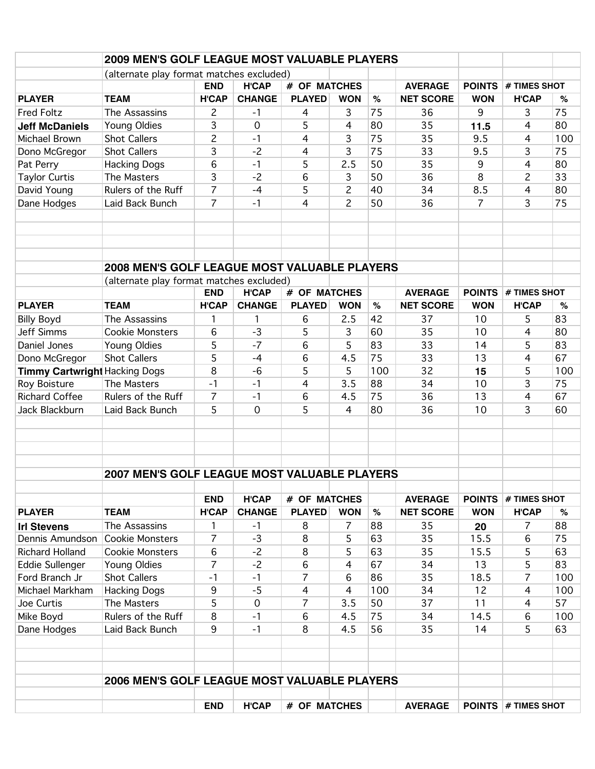|                                      | 2009 MEN'S GOLF LEAGUE MOST VALUABLE PLAYERS        |                                            |                               |                               |                |                |                                    |                             |                     |          |
|--------------------------------------|-----------------------------------------------------|--------------------------------------------|-------------------------------|-------------------------------|----------------|----------------|------------------------------------|-----------------------------|---------------------|----------|
|                                      | (alternate play format matches excluded)            |                                            |                               |                               |                |                |                                    |                             |                     |          |
|                                      |                                                     | <b>END</b><br><b>H'CAP</b><br># OF MATCHES |                               |                               |                | <b>AVERAGE</b> | <b>POINTS</b>                      | # TIMES SHOT                |                     |          |
| <b>PLAYER</b>                        | <b>TEAM</b>                                         | <b>H'CAP</b>                               | <b>CHANGE</b>                 | <b>PLAYED</b>                 | <b>WON</b>     | $\%$           | <b>NET SCORE</b>                   | <b>WON</b>                  | <b>H'CAP</b>        | %        |
| <b>Fred Foltz</b>                    | The Assassins                                       | $\overline{c}$                             | $-1$                          | $\overline{4}$                | 3              | 75             | 36                                 | 9                           | 3                   | 75       |
| <b>Jeff McDaniels</b>                | Young Oldies                                        | 3                                          | 0                             | 5                             | 4              | 80             | 35                                 | 11.5                        | 4                   | 80       |
| Michael Brown                        | <b>Shot Callers</b>                                 | $\overline{c}$                             | $-1$                          | 4                             | 3              | 75             | 35                                 | 9.5                         | 4                   | 100      |
| Dono McGregor                        | <b>Shot Callers</b>                                 | 3                                          | $-2$                          | 4                             | 3              | 75             | 33                                 | 9.5                         | 3                   | 75       |
| Pat Perry                            | <b>Hacking Dogs</b>                                 | 6                                          | $-1$                          | 5                             | 2.5            | 50             | 35                                 | 9                           | 4                   | 80       |
| <b>Taylor Curtis</b>                 | The Masters                                         | 3                                          | $-2$                          | 6                             | 3              | 50             | 36                                 | 8                           | 2                   | 33       |
| David Young                          | Rulers of the Ruff                                  | $\overline{7}$                             | $-4$                          | 5                             | $\overline{c}$ | 40             | 34                                 | 8.5                         | 4                   | 80       |
| Dane Hodges                          | Laid Back Bunch                                     | $\overline{7}$                             | $-1$                          | 4                             | $\overline{c}$ | 50             | 36                                 | $\overline{7}$              | 3                   | 75       |
|                                      |                                                     |                                            |                               |                               |                |                |                                    |                             |                     |          |
|                                      | <b>2008 MEN'S GOLF LEAGUE MOST VALUABLE PLAYERS</b> |                                            |                               |                               |                |                |                                    |                             |                     |          |
|                                      | (alternate play format matches excluded)            |                                            |                               |                               |                |                |                                    |                             |                     |          |
|                                      |                                                     | <b>END</b>                                 | <b>H'CAP</b>                  | # OF MATCHES                  |                |                | <b>AVERAGE</b>                     | <b>POINTS</b>               | # TIMES SHOT        |          |
| <b>PLAYER</b>                        | <b>TEAM</b>                                         | <b>H'CAP</b>                               | <b>CHANGE</b>                 | <b>PLAYED</b>                 | <b>WON</b>     | $\%$           | <b>NET SCORE</b>                   | <b>WON</b>                  | <b>H'CAP</b>        | %        |
| <b>Billy Boyd</b>                    | The Assassins                                       | 1                                          | 1                             | 6                             | 2.5            | 42             | 37                                 | 10                          | 5                   | 83       |
| <b>Jeff Simms</b>                    | <b>Cookie Monsters</b>                              | 6                                          | $-3$                          | 5                             | 3              | 60             | 35                                 | 10                          | 4                   | 80       |
| Daniel Jones                         | Young Oldies                                        | 5                                          | $-7$                          | 6                             | 5              | 83             | 33                                 | 14                          | 5                   | 83       |
| Dono McGregor                        | <b>Shot Callers</b>                                 | 5                                          | $-4$                          | 6                             | 4.5            | 75             | 33                                 | 13                          | 4                   | 67       |
| <b>Timmy Cartwright Hacking Dogs</b> |                                                     | 8                                          | $-6$                          | 5                             | 5              | 100            | 32                                 | 15                          | 5                   | 100      |
| Roy Boisture                         | The Masters                                         | $-1$                                       | $-1$                          | 4                             | 3.5            | 88             | 34                                 | 10                          | 3                   | 75       |
| <b>Richard Coffee</b>                | Rulers of the Ruff                                  | 7                                          | $-1$                          | 6                             | 4.5            | 75             | 36                                 | 13                          | 4                   | 67       |
| Jack Blackburn                       | Laid Back Bunch                                     | 5                                          | $\mathbf 0$                   | 5                             | 4              | 80             | 36                                 | 10                          | 3                   | 60       |
|                                      |                                                     |                                            |                               |                               |                |                |                                    |                             |                     |          |
|                                      | <b>2007 MEN'S GOLF LEAGUE MOST VALUABLE PLAYERS</b> |                                            |                               |                               |                |                |                                    |                             |                     |          |
|                                      |                                                     |                                            |                               |                               |                |                |                                    |                             | # TIMES SHOT        |          |
| <b>PLAYER</b>                        | <b>TEAM</b>                                         | <b>END</b><br><b>H'CAP</b>                 | <b>H'CAP</b><br><b>CHANGE</b> | # OF MATCHES<br><b>PLAYED</b> | <b>WON</b>     | $\%$           | <b>AVERAGE</b><br><b>NET SCORE</b> | <b>POINTS</b><br><b>WON</b> | <b>H'CAP</b>        |          |
|                                      |                                                     |                                            |                               |                               |                |                |                                    |                             |                     | %        |
| <b>Irl Stevens</b>                   | The Assassins                                       | 1<br>$\overline{7}$                        | $-1$<br>$-3$                  | 8                             | 7              | 88<br>63       | 35<br>35                           | 20                          | 7                   | 88<br>75 |
| Dennis Amundson<br>Richard Holland   | <b>Cookie Monsters</b><br><b>Cookie Monsters</b>    |                                            | $-2$                          | 8                             | 5              | 63             | 35                                 | 15.5                        | 6                   | 63       |
|                                      |                                                     | 6<br>$\overline{7}$                        | $-2$                          | 8                             | 5              | 67             | 34                                 | 15.5<br>13                  | 5<br>5              | 83       |
| Eddie Sullenger<br>Ford Branch Jr    | Young Oldies<br><b>Shot Callers</b>                 | $-1$                                       | $-1$                          | 6<br>$\overline{7}$           | 4<br>6         | 86             | 35                                 | 18.5                        | 7                   | 100      |
| Michael Markham                      | <b>Hacking Dogs</b>                                 | 9                                          | $-5$                          |                               | 4              | 100            | 34                                 | 12                          | 4                   | 100      |
|                                      | The Masters                                         | 5                                          |                               | 4<br>$\overline{7}$           |                | 50             | 37                                 |                             |                     |          |
| Joe Curtis                           | Rulers of the Ruff                                  | 8                                          | 0                             |                               | 3.5            | 75             |                                    | 11                          | 4                   | 57       |
| Mike Boyd                            |                                                     |                                            | $-1$<br>$-1$                  | 6                             | 4.5            |                | 34                                 | 14.5                        | 6                   | 100      |
| Dane Hodges                          | Laid Back Bunch                                     | 9                                          |                               | 8                             | 4.5            | 56             | 35                                 | 14                          | 5                   | 63       |
|                                      | 2006 MEN'S GOLF LEAGUE MOST VALUABLE PLAYERS        |                                            |                               |                               |                |                |                                    |                             |                     |          |
|                                      |                                                     | <b>END</b>                                 | <b>H'CAP</b>                  | # OF MATCHES                  |                |                | <b>AVERAGE</b>                     |                             | POINTS # TIMES SHOT |          |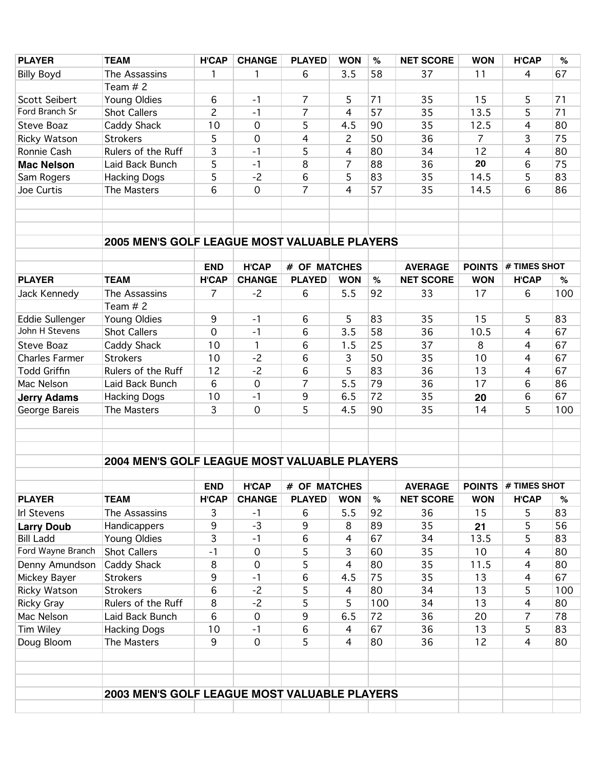| <b>PLAYER</b>          | <b>TEAM</b>                                  | <b>H'CAP</b>   | <b>CHANGE</b>       | <b>PLAYED</b>  | <b>WON</b>     | $\%$ | <b>NET SCORE</b> | <b>WON</b>     | <b>H'CAP</b>               | $\%$ |
|------------------------|----------------------------------------------|----------------|---------------------|----------------|----------------|------|------------------|----------------|----------------------------|------|
| <b>Billy Boyd</b>      | The Assassins                                | 1              | 1                   | 6              | 3.5            | 58   | 37               | 11             | $\overline{4}$             | 67   |
|                        | Team $# 2$                                   |                |                     |                |                |      |                  |                |                            |      |
| <b>Scott Seibert</b>   | Young Oldies                                 | 6              | $-1$                | $\overline{7}$ | 5              | 71   | 35               | 15             | 5                          | 71   |
| Ford Branch Sr         | <b>Shot Callers</b>                          | $\overline{c}$ | $-1$                | $\overline{7}$ | 4              | 57   | 35               | 13.5           | 5                          | 71   |
| <b>Steve Boaz</b>      | Caddy Shack                                  | 10             | $\mathbf 0$         | 5              | 4.5            | 90   | 35               | 12.5           | 4                          | 80   |
| Ricky Watson           | <b>Strokers</b>                              | 5              | $\mathbf 0$         | 4              | $\overline{c}$ | 50   | 36               | $\overline{7}$ | 3                          | 75   |
| Ronnie Cash            | Rulers of the Ruff                           | 3              | $-1$                | 5              | 4              | 80   | 34               | 12             | 4                          | 80   |
| <b>Mac Nelson</b>      | Laid Back Bunch                              | 5              | $-1$                | 8              | $\overline{7}$ | 88   | 36               | 20             | 6                          | 75   |
| Sam Rogers             | <b>Hacking Dogs</b>                          | 5              | $-2$                | 6              | 5              | 83   | 35               | 14.5           | 5                          | 83   |
| Joe Curtis             | The Masters                                  | 6              | 0                   | $\overline{7}$ | 4              | 57   | 35               | 14.5           | 6                          | 86   |
|                        |                                              |                |                     |                |                |      |                  |                |                            |      |
|                        |                                              |                |                     |                |                |      |                  |                |                            |      |
|                        |                                              |                |                     |                |                |      |                  |                |                            |      |
|                        | 2005 MEN'S GOLF LEAGUE MOST VALUABLE PLAYERS |                |                     |                |                |      |                  |                |                            |      |
|                        |                                              |                |                     |                |                |      |                  |                |                            |      |
|                        |                                              | <b>END</b>     | <b>H'CAP</b>        | # OF MATCHES   |                |      | <b>AVERAGE</b>   | <b>POINTS</b>  | # TIMES SHOT               |      |
| <b>PLAYER</b>          | <b>TEAM</b>                                  | <b>H'CAP</b>   | <b>CHANGE</b>       | <b>PLAYED</b>  | <b>WON</b>     | $\%$ | <b>NET SCORE</b> | <b>WON</b>     | <b>H'CAP</b>               | %    |
| Jack Kennedy           | The Assassins                                | 7              | $-2$                | 6              | 5.5            | 92   | 33               | 17             | 6                          | 100  |
|                        | Team $# 2$                                   |                |                     |                |                |      |                  |                |                            |      |
| <b>Eddie Sullenger</b> | Young Oldies                                 | 9              | $-1$                | 6              | 5              | 83   | 35               | 15             | 5                          | 83   |
| John H Stevens         | <b>Shot Callers</b>                          | $\mathbf 0$    | $-1$                | 6              | 3.5            | 58   | 36               | 10.5           | $\overline{4}$             | 67   |
| <b>Steve Boaz</b>      | Caddy Shack                                  | 10             | 1                   | 6              | 1.5            | 25   | 37               | 8              | $\overline{4}$             | 67   |
| <b>Charles Farmer</b>  | <b>Strokers</b>                              | 10             | $-2$                | 6              | 3              | 50   | 35               | 10             | 4                          | 67   |
| <b>Todd Griffin</b>    | Rulers of the Ruff                           | 12             | $-2$                | 6              | 5              | 83   | 36               | 13             | 4                          | 67   |
| Mac Nelson             | Laid Back Bunch                              | 6              | $\mathbf 0$         | $\overline{7}$ | 5.5            | 79   | 36               | 17             | 6                          | 86   |
| <b>Jerry Adams</b>     | <b>Hacking Dogs</b>                          | 10             | $-1$                | 9              | 6.5            | 72   | 35               | 20             | 6                          | 67   |
| George Bareis          | The Masters                                  | 3              | $\mathbf 0$         | 5              | 4.5            | 90   | 35               | 14             | 5                          | 100  |
|                        |                                              |                |                     |                |                |      |                  |                |                            |      |
|                        |                                              |                |                     |                |                |      |                  |                |                            |      |
|                        |                                              |                |                     |                |                |      |                  |                |                            |      |
|                        | 2004 MEN'S GOLF LEAGUE MOST VALUABLE PLAYERS |                |                     |                |                |      |                  |                |                            |      |
|                        |                                              |                |                     |                |                |      |                  |                |                            |      |
|                        |                                              | <b>END</b>     | <b>H'CAP</b>        | # OF MATCHES   |                |      | <b>AVERAGE</b>   |                | <b>POINTS # TIMES SHOT</b> |      |
| <b>PLAYER</b>          | <b>TEAM</b>                                  | <b>H'CAP</b>   | <b>CHANGE</b>       | <b>PLAYED</b>  | <b>WON</b>     | $\%$ | <b>NET SCORE</b> | <b>WON</b>     | <b>H'CAP</b>               | %    |
| Irl Stevens            | The Assassins                                | 3              | $-1$                | 6              | 5.5            | 92   | 36               | 15             | 5                          | 83   |
| <b>Larry Doub</b>      | Handicappers                                 | 9              | $-3$                | 9              | 8              | 89   | 35               | 21             | 5                          | 56   |
| <b>Bill Ladd</b>       | Young Oldies                                 | 3              | $-1$                | 6              | 4              | 67   | 34               | 13.5           | 5                          | 83   |
| Ford Wayne Branch      | Shot Callers                                 | $-1$           | 0                   | 5              | 3              | 60   | 35               | 10             | $\overline{4}$             | 80   |
| Denny Amundson         | Caddy Shack                                  | 8              | $\boldsymbol{0}$    | 5              | 4              | 80   | 35               | 11.5           | $\overline{4}$             | 80   |
| Mickey Bayer           | <b>Strokers</b>                              | 9              | $-1$                | 6              | 4.5            | 75   | 35               | 13             | $\overline{4}$             | 67   |
| Ricky Watson           | <b>Strokers</b>                              | 6              | $-2$                | 5              | 4              | 80   | 34               | 13             | 5                          | 100  |
| Ricky Gray             | Rulers of the Ruff                           | 8              | $-2$                | 5              | 5              | 100  | 34               | 13             | $\overline{4}$             | 80   |
| Mac Nelson             | Laid Back Bunch                              | 6              | 0                   | 9              | 6.5            | 72   | 36               | 20             | $\overline{7}$             | 78   |
| <b>Tim Wiley</b>       | <b>Hacking Dogs</b>                          | 10             | $-1$                | 6              | 4              | 67   | 36               | 13             | 5                          | 83   |
| Doug Bloom             | The Masters                                  | 9              | $\mathsf{O}\xspace$ | 5              | $\overline{4}$ | 80   | 36               | 12             | $\overline{4}$             | 80   |
|                        |                                              |                |                     |                |                |      |                  |                |                            |      |
|                        |                                              |                |                     |                |                |      |                  |                |                            |      |
|                        |                                              |                |                     |                |                |      |                  |                |                            |      |
|                        | 2003 MEN'S GOLF LEAGUE MOST VALUABLE PLAYERS |                |                     |                |                |      |                  |                |                            |      |
|                        |                                              |                |                     |                |                |      |                  |                |                            |      |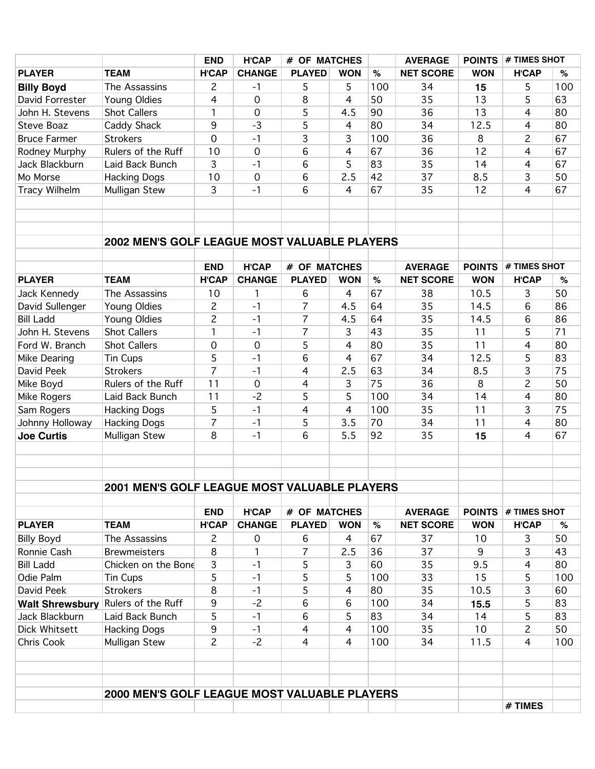|                        |                                              | <b>END</b>     | <b>H'CAP</b>     | # OF MATCHES   |                | <b>AVERAGE</b> | <b>POINTS</b>    | # TIMES SHOT  |                |     |
|------------------------|----------------------------------------------|----------------|------------------|----------------|----------------|----------------|------------------|---------------|----------------|-----|
| <b>PLAYER</b>          | <b>TEAM</b>                                  | <b>H'CAP</b>   | <b>CHANGE</b>    | <b>PLAYED</b>  | <b>WON</b>     | $\%$           | <b>NET SCORE</b> | <b>WON</b>    | <b>H'CAP</b>   | %   |
| <b>Billy Boyd</b>      | The Assassins                                | $\overline{c}$ | $-1$             | 5              | 5              | 100            | 34               | 15            | 5              | 100 |
| David Forrester        | Young Oldies                                 | 4              | 0                | 8              | 4              | 50             | 35               | 13            | 5              | 63  |
| John H. Stevens        | <b>Shot Callers</b>                          | $\mathbf{1}$   | 0                | 5              | 4.5            | 90             | 36               | 13            | 4              | 80  |
| Steve Boaz             | Caddy Shack                                  | 9              | $-3$             | 5              | $\overline{4}$ | 80             | 34               | 12.5          | 4              | 80  |
| <b>Bruce Farmer</b>    | <b>Strokers</b>                              | 0              | $-1$             | 3              | 3              | 100            | 36               | 8             | $\overline{c}$ | 67  |
| Rodney Murphy          | Rulers of the Ruff                           | 10             | 0                | 6              | $\overline{4}$ | 67             | 36               | 12            | 4              | 67  |
| Jack Blackburn         | Laid Back Bunch                              | 3              | $-1$             | 6              | 5              | 83             | 35               | 14            | $\overline{4}$ | 67  |
| Mo Morse               | <b>Hacking Dogs</b>                          | 10             | $\mathbf 0$      | 6              | 2.5            | 42             | 37               | 8.5           | 3              | 50  |
| <b>Tracy Wilhelm</b>   | Mulligan Stew                                | 3              | $-1$             | 6              | 4              | 67             | 35               | 12            | $\overline{4}$ | 67  |
|                        |                                              |                |                  |                |                |                |                  |               |                |     |
|                        |                                              |                |                  |                |                |                |                  |               |                |     |
|                        |                                              |                |                  |                |                |                |                  |               |                |     |
|                        | 2002 MEN'S GOLF LEAGUE MOST VALUABLE PLAYERS |                |                  |                |                |                |                  |               |                |     |
|                        |                                              |                |                  |                |                |                |                  |               |                |     |
|                        |                                              | <b>END</b>     | <b>H'CAP</b>     | # OF MATCHES   |                |                | <b>AVERAGE</b>   | <b>POINTS</b> | # TIMES SHOT   |     |
| <b>PLAYER</b>          | <b>TEAM</b>                                  | <b>H'CAP</b>   | <b>CHANGE</b>    | <b>PLAYED</b>  | <b>WON</b>     | $\%$           | <b>NET SCORE</b> | <b>WON</b>    | <b>H'CAP</b>   | %   |
| Jack Kennedy           | The Assassins                                | 10             | 1                | 6              | 4              | 67             | 38               | 10.5          | 3              | 50  |
| David Sullenger        | Young Oldies                                 | $\overline{c}$ | $-1$             | $\overline{7}$ | 4.5            | 64             | 35               | 14.5          | 6              | 86  |
| <b>Bill Ladd</b>       | Young Oldies                                 | $\overline{c}$ | $-1$             | $\overline{7}$ | 4.5            | 64             | 35               | 14.5          | 6              | 86  |
| John H. Stevens        | <b>Shot Callers</b>                          | 1              | $-1$             | $\overline{7}$ | 3              | 43             | 35               | 11            | 5              | 71  |
| Ford W. Branch         | <b>Shot Callers</b>                          | 0              | $\boldsymbol{0}$ | 5              | 4              | 80             | 35               | 11            | $\overline{4}$ | 80  |
| Mike Dearing           | <b>Tin Cups</b>                              | 5              | $-1$             | 6              | 4              | 67             | 34               | 12.5          | 5              | 83  |
| David Peek             | <b>Strokers</b>                              | $\overline{7}$ | $-1$             | 4              | 2.5            | 63             | 34               | 8.5           | 3              | 75  |
| Mike Boyd              | Rulers of the Ruff                           | 11             | 0                | $\overline{4}$ | 3              | 75             | 36               | 8             | $\overline{c}$ | 50  |
| Mike Rogers            | Laid Back Bunch                              | 11             | $-2$             | 5              | 5              | 100            | 34               | 14            | $\overline{4}$ | 80  |
| Sam Rogers             | <b>Hacking Dogs</b>                          | 5              | $-1$             | 4              | 4              | 100            | 35               | 11            | 3              | 75  |
| Johnny Holloway        | <b>Hacking Dogs</b>                          | $\overline{7}$ | $-1$             | 5              | 3.5            | 70             | 34               | 11            | 4              | 80  |
| <b>Joe Curtis</b>      | Mulligan Stew                                | 8              | $-1$             | 6              | 5.5            | 92             | 35               | 15            | $\overline{4}$ | 67  |
|                        |                                              |                |                  |                |                |                |                  |               |                |     |
|                        |                                              |                |                  |                |                |                |                  |               |                |     |
|                        |                                              |                |                  |                |                |                |                  |               |                |     |
|                        | 2001 MEN'S GOLF LEAGUE MOST VALUABLE PLAYERS |                |                  |                |                |                |                  |               |                |     |
|                        |                                              |                |                  |                |                |                |                  |               |                |     |
|                        |                                              | <b>END</b>     | <b>H'CAP</b>     | # OF MATCHES   |                |                | <b>AVERAGE</b>   | <b>POINTS</b> | $#$ TIMES SHOT |     |
| <b>PLAYER</b>          | <b>TEAM</b>                                  | <b>H'CAP</b>   | <b>CHANGE</b>    | <b>PLAYED</b>  | <b>WON</b>     | $\%$           | <b>NET SCORE</b> | <b>WON</b>    | <b>H'CAP</b>   | %   |
| <b>Billy Boyd</b>      | The Assassins                                | $\overline{c}$ | 0                | 6              | $\overline{4}$ | 67             | 37               | 10            | 3              | 50  |
| Ronnie Cash            | <b>Brewmeisters</b>                          | 8              | 1                | $\overline{7}$ | 2.5            | 36             | 37               | 9             | 3              | 43  |
| <b>Bill Ladd</b>       | Chicken on the Bone                          | 3              | $-1$             | 5              | 3              | 60             | 35               | 9.5           | 4              | 80  |
| Odie Palm              | <b>Tin Cups</b>                              | 5              | $-1$             | 5              | 5              | 100            | 33               | 15            | 5              | 100 |
| David Peek             | <b>Strokers</b>                              | 8              | $-1$             | 5              | 4              | 80             | 35               | 10.5          | 3              | 60  |
| <b>Walt Shrewsbury</b> | Rulers of the Ruff                           | 9              | $-2$             | 6              | 6              | 100            | 34               | 15.5          | 5              | 83  |
| Jack Blackburn         | Laid Back Bunch                              | 5              | $-1$             | 6              | 5              | 83             | 34               | 14            | 5              | 83  |
| Dick Whitsett          | <b>Hacking Dogs</b>                          | 9              | $-1$             | $\overline{4}$ | $\overline{4}$ | 100            | 35               | 10            | $\overline{c}$ | 50  |
| Chris Cook             | Mulligan Stew                                | $\overline{c}$ | $-2$             | $\overline{4}$ | $\overline{4}$ | 100            | 34               | 11.5          | 4              | 100 |
|                        |                                              |                |                  |                |                |                |                  |               |                |     |
|                        |                                              |                |                  |                |                |                |                  |               |                |     |
|                        |                                              |                |                  |                |                |                |                  |               |                |     |
|                        | 2000 MEN'S GOLF LEAGUE MOST VALUABLE PLAYERS |                |                  |                |                |                |                  |               |                |     |
|                        |                                              |                |                  |                |                |                |                  |               | # TIMES        |     |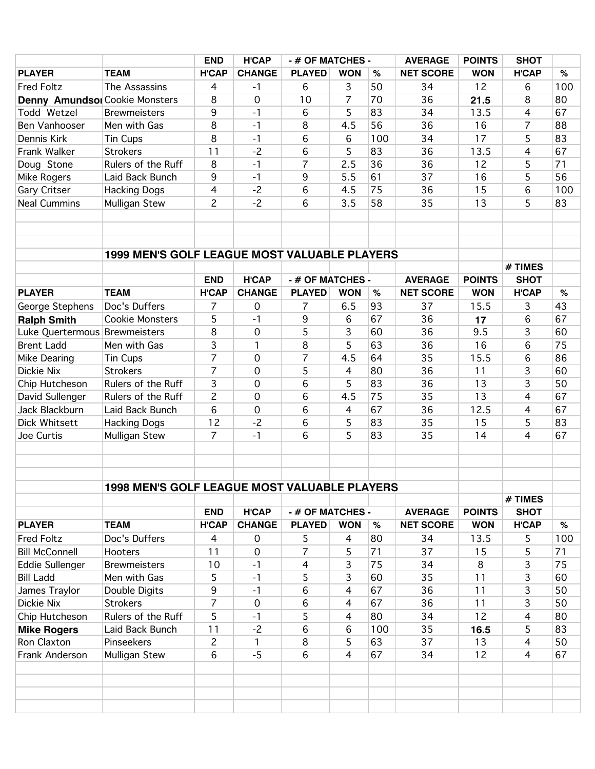|                                       |                                                     | <b>END</b>            | <b>H'CAP</b>        | - # OF MATCHES -    |                | <b>AVERAGE</b> | <b>POINTS</b>    | <b>SHOT</b>   |                |     |
|---------------------------------------|-----------------------------------------------------|-----------------------|---------------------|---------------------|----------------|----------------|------------------|---------------|----------------|-----|
| <b>PLAYER</b>                         | <b>TEAM</b>                                         | <b>H'CAP</b>          | <b>CHANGE</b>       | <b>PLAYED</b>       | <b>WON</b>     | %              | <b>NET SCORE</b> | <b>WON</b>    | <b>H'CAP</b>   | %   |
| <b>Fred Foltz</b>                     | The Assassins                                       | $\overline{4}$        | $-1$                | 6                   | 3              | 50             | 34               | 12            | 6              | 100 |
| <b>Denny Amundsol Cookie Monsters</b> |                                                     | 8                     | $\mathsf{O}\xspace$ | 10                  | $\overline{7}$ | 70             | 36               | 21.5          | 8              | 80  |
| Todd Wetzel                           | <b>Brewmeisters</b>                                 | 9                     | $-1$                | 6                   | 5              | 83             | 34               | 13.5          | 4              | 67  |
| Ben Vanhooser                         | Men with Gas                                        | 8                     | $-1$                | 8                   | 4.5            | 56             | 36               | 16            | 7              | 88  |
| Dennis Kirk                           | <b>Tin Cups</b>                                     | 8                     | $-1$                | 6                   | 6              | 100            | 34               | 17            | 5              | 83  |
| Frank Walker                          | <b>Strokers</b>                                     | 11                    | $-2$                | 6                   | 5              | 83             | 36               | 13.5          | 4              | 67  |
| Doug Stone                            | Rulers of the Ruff                                  | 8                     | $-1$                | $\overline{7}$      | 2.5            | 36             | 36               | 12            | 5              | 71  |
| Mike Rogers                           | Laid Back Bunch                                     | 9                     | $-1$                | $9\,$               | 5.5            | 61             | 37               | 16            | 5              | 56  |
| Gary Critser                          | <b>Hacking Dogs</b>                                 | $\overline{4}$        | $-2$                | 6                   | 4.5            | 75             | 36               | 15            | 6              | 100 |
| <b>Neal Cummins</b>                   | Mulligan Stew                                       | $\overline{c}$        | $-2$                | 6                   | 3.5            | 58             | 35               | 13            | 5              | 83  |
|                                       |                                                     |                       |                     |                     |                |                |                  |               |                |     |
|                                       |                                                     |                       |                     |                     |                |                |                  |               |                |     |
|                                       |                                                     |                       |                     |                     |                |                |                  |               |                |     |
|                                       | <b>1999 MEN'S GOLF LEAGUE MOST VALUABLE PLAYERS</b> |                       |                     |                     |                |                |                  |               |                |     |
|                                       |                                                     |                       |                     |                     |                |                |                  |               | # TIMES        |     |
|                                       |                                                     | <b>END</b>            | <b>H'CAP</b>        | - # OF MATCHES -    |                |                | <b>AVERAGE</b>   | <b>POINTS</b> | <b>SHOT</b>    |     |
| <b>PLAYER</b>                         | <b>TEAM</b>                                         | <b>H'CAP</b>          | <b>CHANGE</b>       | <b>PLAYED</b>       | <b>WON</b>     | $\%$           | <b>NET SCORE</b> | <b>WON</b>    | <b>H'CAP</b>   | %   |
| George Stephens                       | Doc's Duffers                                       | 7                     | $\mathbf 0$         | 7                   | 6.5            | 93             | 37               | 15.5          | 3              | 43  |
| <b>Ralph Smith</b>                    | <b>Cookie Monsters</b>                              | 5                     | $-1$                | 9                   | 6              | 67             | 36               | 17            | 6              | 67  |
| Luke Quertermous Brewmeisters         |                                                     | 8                     | 0                   | 5                   | 3              | 60             | 36               | 9.5           | 3              | 60  |
| <b>Brent Ladd</b>                     | Men with Gas                                        | 3                     | 1                   | 8                   | 5              | 63             | 36               | 16            | 6              | 75  |
| Mike Dearing                          | Tin Cups                                            | $\overline{7}$        | $\mathbf 0$         | $\overline{7}$      | 4.5            | 64             | 35               | 15.5          | 6              | 86  |
| Dickie Nix                            | <b>Strokers</b>                                     | $\overline{7}$        | 0                   | 5                   | $\overline{4}$ | 80             | 36               | 11            | 3              | 60  |
| Chip Hutcheson                        | Rulers of the Ruff                                  | 3                     | 0                   | 6                   | 5              | 83             | 36               | 13            | 3              | 50  |
| David Sullenger                       | Rulers of the Ruff                                  | $\overline{c}$        | 0                   | 6                   | 4.5            | 75             | 35               | 13            | 4              | 67  |
| Jack Blackburn                        | Laid Back Bunch                                     | 6                     | 0                   | 6                   | $\overline{4}$ | 67             | 36               | 12.5          | $\overline{4}$ | 67  |
| Dick Whitsett                         | <b>Hacking Dogs</b>                                 | 12                    | $-2$                | 6                   | 5              | 83             | 35               | 15            | 5              | 83  |
| Joe Curtis                            | Mulligan Stew                                       | $\overline{7}$        | $-1$                | 6                   | 5              | 83             | 35               | 14            | 4              | 67  |
|                                       |                                                     |                       |                     |                     |                |                |                  |               |                |     |
|                                       |                                                     |                       |                     |                     |                |                |                  |               |                |     |
|                                       |                                                     |                       |                     |                     |                |                |                  |               |                |     |
|                                       | 1998 MEN'S GOLF LEAGUE MOST VALUABLE PLAYERS        |                       |                     |                     |                |                |                  |               |                |     |
|                                       |                                                     |                       |                     |                     |                |                |                  |               | # TIMES        |     |
|                                       |                                                     | <b>END</b>            | <b>H'CAP</b>        | - # OF MATCHES -    |                |                | <b>AVERAGE</b>   | <b>POINTS</b> | <b>SHOT</b>    |     |
| <b>PLAYER</b>                         | <b>TEAM</b>                                         | <b>H'CAP</b>          | <b>CHANGE</b>       | <b>PLAYED</b>       | <b>WON</b>     | $\%$           | <b>NET SCORE</b> | <b>WON</b>    | <b>H'CAP</b>   | %   |
| <b>Fred Foltz</b>                     | Doc's Duffers                                       | $\overline{4}$        | $\mathbf 0$         |                     | 4              | 80             | 34               | 13.5          |                | 100 |
| <b>Bill McConnell</b>                 | Hooters                                             | 11                    | $\mathbf 0$         | 5<br>$\overline{7}$ | 5              | 71             | 37               | 15            | 5<br>5         | 71  |
|                                       | <b>Brewmeisters</b>                                 |                       | $-1$                | 4                   | 3              | 75             | 34               | 8             | 3              | 75  |
| Eddie Sullenger                       | Men with Gas                                        | 10                    | $-1$                | 5                   | 3              | 60             | 35               | 11            | 3              | 60  |
| <b>Bill Ladd</b>                      |                                                     | 5<br>$\boldsymbol{9}$ |                     |                     | 4              | 67             | 36               | 11            | 3              | 50  |
| James Traylor                         | Double Digits                                       |                       | $-1$                | 6                   |                |                |                  |               |                |     |
| Dickie Nix                            | <b>Strokers</b><br>Rulers of the Ruff               | $\overline{7}$        | $\boldsymbol{0}$    | $\,6$               | 4              | 67             | 36               | 11            | 3              | 50  |
| Chip Hutcheson                        |                                                     | 5                     | $-1$                | 5                   | 4              | 80             | 34               | 12            | 4              | 80  |
| <b>Mike Rogers</b>                    | Laid Back Bunch                                     | 11                    | $-2$                | 6                   | 6              | 100            | 35               | 16.5          | 5              | 83  |
| Ron Claxton                           | Pinseekers                                          | $\overline{c}$        | 1                   | $\,8\,$             | 5              | 63             | 37               | 13            | $\overline{4}$ | 50  |
| Frank Anderson                        | Mulligan Stew                                       | $\sqrt{6}$            | $-5$                | 6                   | $\overline{4}$ | 67             | 34               | 12            | 4              | 67  |
|                                       |                                                     |                       |                     |                     |                |                |                  |               |                |     |
|                                       |                                                     |                       |                     |                     |                |                |                  |               |                |     |
|                                       |                                                     |                       |                     |                     |                |                |                  |               |                |     |
|                                       |                                                     |                       |                     |                     |                |                |                  |               |                |     |